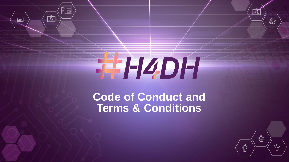# THZDH

 $\overline{\bigotimes_{=\equiv}^\infty}$ 

 $\frac{\text{A}}{\text{A}}$ 

 $\overline{\mathbb{L}}$ 

# **Code of Conduct and Terms & Conditions**



 $\mathbb{\AA}$ 

දිස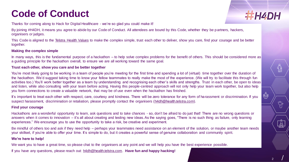## **Code of Conduct**

**THH4DH** 

Ҿ҆

Thanks for coming along to Hack for Digital Healthcare - we're so glad you could make it!

By joining #H4DH, it means you agree to abide by our Code of Conduct. All attendees are bound by this Code, whether they be p artners, hackers, organisers or judges.

This Code is aligned to the [Telstra Health Values](https://www.telstrahealth.com/content/telstrahealth/en/about-us/careers.html) to make the complex simple, trust each other to deliver, show you care, find your courage and be better together.

#### **Making the complex simple**

In many ways, this is the fundamental purpose of a hackathon – to help solve complex problems for the benefit of others. This should be considered more as a guiding principle for the hackathon overall, to ensure we are all working toward the same goal.

### **Trust each other, show you care and be better together**

You're most likely going to be working in a team of people you're meeting for the first time and spending a lot of (virtual) time together over the duration of the hackathon. We'd suggest taking time to know your fellow teammates to really make the most of the experience. (We will try to facilitate this through fun activities too.) You'll work better together as a team by understanding and recognising each other's skills and strengths. Trust in each other, be open to ideas and listen, while also consulting with your team before acting. Having this people-centred approach will not only help your team work together, but also help you form connections to create a valuable network, that may be of use even when the hackathon has finished.

It's important to treat each other with respect, care, courtesy and kindness. There will be zero tolerance for any form of harassment or discrimination. If you suspect harassment, discrimination or retaliation, please promptly contact the organisers [\(h4dh@health.telstra.com\)](mailto:h4dh@health.telstra.com).

#### **Find your courage**

Hackathons are a wonderful opportunity to learn, ask questions and to take chances - so, don't be afraid to do just that! There are no wrong questions or answers when it comes to innovation – it's all about creating and testing new ideas. As the saying goes, "There is no such thing as failure, only learning experiences." We encourage you to use the opportunity to take a risk, be creative and experiment.

Be mindful of others too and ask if they need help – perhaps your teammates need assistance on an element of the solution, or maybe another team needs your skillset, if you're able to offer your time. It's simple to do, but it creates a powerful sense of genuine collaboration and community spirit.

#### **We're here to help!**

We want you to have a great time, so please chat to the organisers at any point and we will help you have the best experience possible.

If you have any questions, please reach out: [h4dh@health.telstra.com](mailto:h4dh@health.telstra.com). **Have fun and happy hacking!**

 $\textcolor{red}{\widehat{\mathbb{H}}}$ 

V,

 $\frac{\hat{\text{A}}}{\hat{\text{B}}}$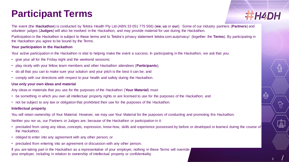## **Participant Terms**



Ҿ҉

The event (the **Hackathon**) is conducted by Telstra Health Pty Ltd (ABN 33 051 775 556) (**we**, **us** or **our**). Some of our industry partners (**Partners**) and volunteer judges (**Judges**) will also be involved in the Hackathon, and may provide material for use during the Hackathon.

Participation in the Hackathon is subject to these terms and to Telstra's privacy statement telstra.com.au/privacy/ (together the **Terms**). By participating in the Hackathon you agree to be bound by the Terms.

#### **Your participation in the Hackathon**

Your active participation in the Hackathon is vital to helping make the event a success. In participating in the Hackathon, we ask that you:

- give your all for the Friday night and the weekend sessions;
- play nicely with your fellow team members and other Hackathon attendees (**Participants**);
- do all that you can to make sure your solution and your pitch is the best it can be; and
- comply with our directions with respect to your health and safety during the Hackathon.

#### **Use only your own ideas and material**

Any ideas or materials that you use for the purposes of the Hackathon (**Your Material**) must:

- be something in which you own all intellectual property rights or are licensed to use for the purposes of the Hackathon; and
- not be subject to any law or obligation that prohibited their use for the purposes of the Hackathon.

#### **Intellectual property**

You will retain ownership of Your Material. However, we may use Your Material for the purposes of conducting and promoting the Hackathon.

Neither you nor us, our Partners or Judges are, because of the Hackathon or participation in it:

- precluded from using any ideas, concepts, expression, know-how, skills and experience possessed by before or developed or learned during the course of the Hackathon;
- obliged to enter into any agreement with any other person; or
- precluded from entering into an agreement or discussion with any other person.

If you are taking part in the Hackathon as a representative of your employer, nothing in these Terms will override your employer, including in relation to ownership of intellectual property or confidentiality.

 $\frac{\ddot{\textrm{a}}}{\mathbb{B}}$